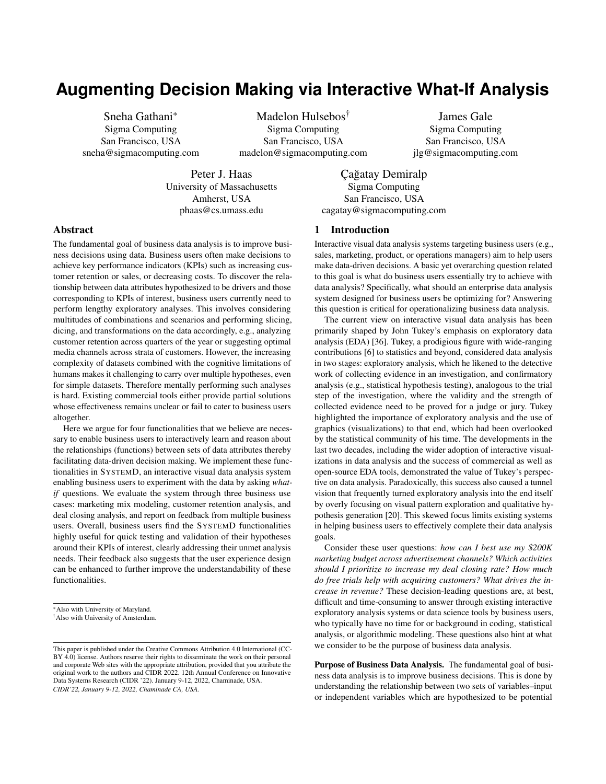# **Augmenting Decision Making via Interactive What-If Analysis**

Sneha Gathani\* Sigma Computing San Francisco, USA sneha@sigmacomputing.com

Madelon Hulsebos† Sigma Computing San Francisco, USA madelon@sigmacomputing.com

James Gale Sigma Computing San Francisco, USA jlg@sigmacomputing.com

Peter J. Haas University of Massachusetts Amherst, USA phaas@cs.umass.edu

Çağatay Demiralp Sigma Computing San Francisco, USA cagatay@sigmacomputing.com

# Abstract

The fundamental goal of business data analysis is to improve business decisions using data. Business users often make decisions to achieve key performance indicators (KPIs) such as increasing customer retention or sales, or decreasing costs. To discover the relationship between data attributes hypothesized to be drivers and those corresponding to KPIs of interest, business users currently need to perform lengthy exploratory analyses. This involves considering multitudes of combinations and scenarios and performing slicing, dicing, and transformations on the data accordingly, e.g., analyzing customer retention across quarters of the year or suggesting optimal media channels across strata of customers. However, the increasing complexity of datasets combined with the cognitive limitations of humans makes it challenging to carry over multiple hypotheses, even for simple datasets. Therefore mentally performing such analyses is hard. Existing commercial tools either provide partial solutions whose effectiveness remains unclear or fail to cater to business users altogether.

Here we argue for four functionalities that we believe are necessary to enable business users to interactively learn and reason about the relationships (functions) between sets of data attributes thereby facilitating data-driven decision making. We implement these functionalities in SYSTEMD, an interactive visual data analysis system enabling business users to experiment with the data by asking *whatif* questions. We evaluate the system through three business use cases: marketing mix modeling, customer retention analysis, and deal closing analysis, and report on feedback from multiple business users. Overall, business users find the SYSTEMD functionalities highly useful for quick testing and validation of their hypotheses around their KPIs of interest, clearly addressing their unmet analysis needs. Their feedback also suggests that the user experience design can be enhanced to further improve the understandability of these functionalities.

# 1 Introduction

Interactive visual data analysis systems targeting business users (e.g., sales, marketing, product, or operations managers) aim to help users make data-driven decisions. A basic yet overarching question related to this goal is what do business users essentially try to achieve with data analysis? Specifically, what should an enterprise data analysis system designed for business users be optimizing for? Answering this question is critical for operationalizing business data analysis.

The current view on interactive visual data analysis has been primarily shaped by John Tukey's emphasis on exploratory data analysis (EDA) [\[36\]](#page-7-0). Tukey, a prodigious figure with wide-ranging contributions [\[6\]](#page-7-1) to statistics and beyond, considered data analysis in two stages: exploratory analysis, which he likened to the detective work of collecting evidence in an investigation, and confirmatory analysis (e.g., statistical hypothesis testing), analogous to the trial step of the investigation, where the validity and the strength of collected evidence need to be proved for a judge or jury. Tukey highlighted the importance of exploratory analysis and the use of graphics (visualizations) to that end, which had been overlooked by the statistical community of his time. The developments in the last two decades, including the wider adoption of interactive visualizations in data analysis and the success of commercial as well as open-source EDA tools, demonstrated the value of Tukey's perspective on data analysis. Paradoxically, this success also caused a tunnel vision that frequently turned exploratory analysis into the end itself by overly focusing on visual pattern exploration and qualitative hypothesis generation [\[20\]](#page-7-2). This skewed focus limits existing systems in helping business users to effectively complete their data analysis goals.

Consider these user questions: *how can I best use my \$200K marketing budget across advertisement channels? Which activities should I prioritize to increase my deal closing rate? How much do free trials help with acquiring customers? What drives the increase in revenue?* These decision-leading questions are, at best, difficult and time-consuming to answer through existing interactive exploratory analysis systems or data science tools by business users, who typically have no time for or background in coding, statistical analysis, or algorithmic modeling. These questions also hint at what we consider to be the purpose of business data analysis.

Purpose of Business Data Analysis. The fundamental goal of business data analysis is to improve business decisions. This is done by understanding the relationship between two sets of variables–input or independent variables which are hypothesized to be potential

<sup>\*</sup>Also with University of Maryland.

<sup>†</sup>Also with University of Amsterdam.

This paper is published under the Creative Commons Attribution 4.0 International (CC-BY 4.0) license. Authors reserve their rights to disseminate the work on their personal and corporate Web sites with the appropriate attribution, provided that you attribute the original work to the authors and CIDR 2022. 12th Annual Conference on Innovative Data Systems Research (CIDR '22). January 9-12, 2022, Chaminade, USA. *CIDR'22, January 9-12, 2022, Chaminade CA, USA.*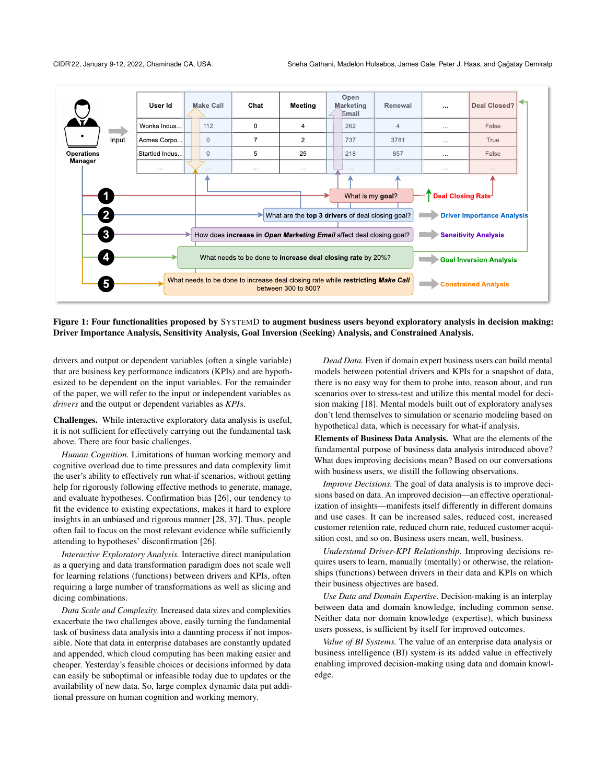<span id="page-1-0"></span>

Figure 1: Four functionalities proposed by SYSTEMD to augment business users beyond exploratory analysis in decision making: Driver Importance Analysis, Sensitivity Analysis, Goal Inversion (Seeking) Analysis, and Constrained Analysis.

drivers and output or dependent variables (often a single variable) that are business key performance indicators (KPIs) and are hypothesized to be dependent on the input variables. For the remainder of the paper, we will refer to the input or independent variables as *drivers* and the output or dependent variables as *KPI*s.

Challenges. While interactive exploratory data analysis is useful, it is not sufficient for effectively carrying out the fundamental task above. There are four basic challenges.

*Human Cognition.* Limitations of human working memory and cognitive overload due to time pressures and data complexity limit the user's ability to effectively run what-if scenarios, without getting help for rigorously following effective methods to generate, manage, and evaluate hypotheses. Confirmation bias [\[26\]](#page-7-3), our tendency to fit the evidence to existing expectations, makes it hard to explore insights in an unbiased and rigorous manner [\[28,](#page-7-4) [37\]](#page-7-5). Thus, people often fail to focus on the most relevant evidence while sufficiently attending to hypotheses' disconfirmation [\[26\]](#page-7-3).

*Interactive Exploratory Analysis.* Interactive direct manipulation as a querying and data transformation paradigm does not scale well for learning relations (functions) between drivers and KPIs, often requiring a large number of transformations as well as slicing and dicing combinations.

*Data Scale and Complexity.* Increased data sizes and complexities exacerbate the two challenges above, easily turning the fundamental task of business data analysis into a daunting process if not impossible. Note that data in enterprise databases are constantly updated and appended, which cloud computing has been making easier and cheaper. Yesterday's feasible choices or decisions informed by data can easily be suboptimal or infeasible today due to updates or the availability of new data. So, large complex dynamic data put additional pressure on human cognition and working memory.

*Dead Data.* Even if domain expert business users can build mental models between potential drivers and KPIs for a snapshot of data, there is no easy way for them to probe into, reason about, and run scenarios over to stress-test and utilize this mental model for decision making [\[18\]](#page-7-6). Mental models built out of exploratory analyses don't lend themselves to simulation or scenario modeling based on hypothetical data, which is necessary for what-if analysis.

Elements of Business Data Analysis. What are the elements of the fundamental purpose of business data analysis introduced above? What does improving decisions mean? Based on our conversations with business users, we distill the following observations.

*Improve Decisions.* The goal of data analysis is to improve decisions based on data. An improved decision—an effective operationalization of insights—manifests itself differently in different domains and use cases. It can be increased sales, reduced cost, increased customer retention rate, reduced churn rate, reduced customer acquisition cost, and so on. Business users mean, well, business.

*Understand Driver-KPI Relationship.* Improving decisions requires users to learn, manually (mentally) or otherwise, the relationships (functions) between drivers in their data and KPIs on which their business objectives are based.

*Use Data and Domain Expertise.* Decision-making is an interplay between data and domain knowledge, including common sense. Neither data nor domain knowledge (expertise), which business users possess, is sufficient by itself for improved outcomes.

*Value of BI Systems.* The value of an enterprise data analysis or business intelligence (BI) system is its added value in effectively enabling improved decision-making using data and domain knowledge.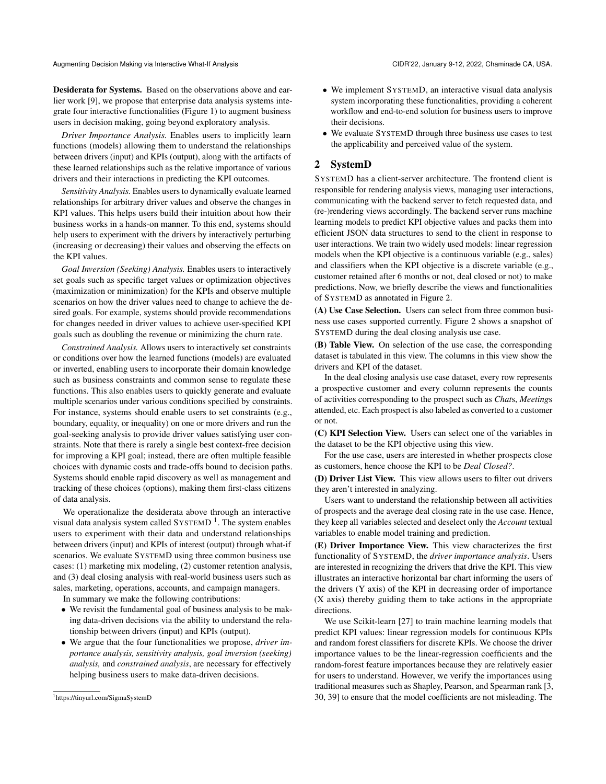Desiderata for Systems. Based on the observations above and earlier work [\[9\]](#page-7-7), we propose that enterprise data analysis systems integrate four interactive functionalities [\(Figure 1\)](#page-1-0) to augment business users in decision making, going beyond exploratory analysis.

*Driver Importance Analysis.* Enables users to implicitly learn functions (models) allowing them to understand the relationships between drivers (input) and KPIs (output), along with the artifacts of these learned relationships such as the relative importance of various drivers and their interactions in predicting the KPI outcomes.

*Sensitivity Analysis.* Enables users to dynamically evaluate learned relationships for arbitrary driver values and observe the changes in KPI values. This helps users build their intuition about how their business works in a hands-on manner. To this end, systems should help users to experiment with the drivers by interactively perturbing (increasing or decreasing) their values and observing the effects on the KPI values.

*Goal Inversion (Seeking) Analysis.* Enables users to interactively set goals such as specific target values or optimization objectives (maximization or minimization) for the KPIs and observe multiple scenarios on how the driver values need to change to achieve the desired goals. For example, systems should provide recommendations for changes needed in driver values to achieve user-specified KPI goals such as doubling the revenue or minimizing the churn rate.

*Constrained Analysis.* Allows users to interactively set constraints or conditions over how the learned functions (models) are evaluated or inverted, enabling users to incorporate their domain knowledge such as business constraints and common sense to regulate these functions. This also enables users to quickly generate and evaluate multiple scenarios under various conditions specified by constraints. For instance, systems should enable users to set constraints (e.g., boundary, equality, or inequality) on one or more drivers and run the goal-seeking analysis to provide driver values satisfying user constraints. Note that there is rarely a single best context-free decision for improving a KPI goal; instead, there are often multiple feasible choices with dynamic costs and trade-offs bound to decision paths. Systems should enable rapid discovery as well as management and tracking of these choices (options), making them first-class citizens of data analysis.

We operationalize the desiderata above through an interactive visual data analysis system called  $SYSTEMD<sup>1</sup>$  $SYSTEMD<sup>1</sup>$  $SYSTEMD<sup>1</sup>$ . The system enables users to experiment with their data and understand relationships between drivers (input) and KPIs of interest (output) through what-if scenarios. We evaluate SYSTEMD using three common business use cases: (1) marketing mix modeling, (2) customer retention analysis, and (3) deal closing analysis with real-world business users such as sales, marketing, operations, accounts, and campaign managers.

In summary we make the following contributions:

- We revisit the fundamental goal of business analysis to be making data-driven decisions via the ability to understand the relationship between drivers (input) and KPIs (output).
- We argue that the four functionalities we propose, *driver importance analysis, sensitivity analysis, goal inversion (seeking) analysis,* and *constrained analysis*, are necessary for effectively helping business users to make data-driven decisions.
- We implement SYSTEMD, an interactive visual data analysis system incorporating these functionalities, providing a coherent workflow and end-to-end solution for business users to improve their decisions.
- We evaluate SYSTEMD through three business use cases to test the applicability and perceived value of the system.

# <span id="page-2-1"></span>2 SystemD

SYSTEMD has a client-server architecture. The frontend client is responsible for rendering analysis views, managing user interactions, communicating with the backend server to fetch requested data, and (re-)rendering views accordingly. The backend server runs machine learning models to predict KPI objective values and packs them into efficient JSON data structures to send to the client in response to user interactions. We train two widely used models: linear regression models when the KPI objective is a continuous variable (e.g., sales) and classifiers when the KPI objective is a discrete variable (e.g., customer retained after 6 months or not, deal closed or not) to make predictions. Now, we briefly describe the views and functionalities of SYSTEMD as annotated in [Figure 2.](#page-3-0)

(A) Use Case Selection. Users can select from three common business use cases supported currently. [Figure 2](#page-3-0) shows a snapshot of SYSTEMD during the deal closing analysis use case.

(B) Table View. On selection of the use case, the corresponding dataset is tabulated in this view. The columns in this view show the drivers and KPI of the dataset.

In the deal closing analysis use case dataset, every row represents a prospective customer and every column represents the counts of activities corresponding to the prospect such as *Chat*s, *Meeting*s attended, etc. Each prospect is also labeled as converted to a customer or not.

(C) KPI Selection View. Users can select one of the variables in the dataset to be the KPI objective using this view.

For the use case, users are interested in whether prospects close as customers, hence choose the KPI to be *Deal Closed?*.

(D) Driver List View. This view allows users to filter out drivers they aren't interested in analyzing.

Users want to understand the relationship between all activities of prospects and the average deal closing rate in the use case. Hence, they keep all variables selected and deselect only the *Account* textual variables to enable model training and prediction.

(E) Driver Importance View. This view characterizes the first functionality of SYSTEMD, the *driver importance analysis*. Users are interested in recognizing the drivers that drive the KPI. This view illustrates an interactive horizontal bar chart informing the users of the drivers (Y axis) of the KPI in decreasing order of importance (X axis) thereby guiding them to take actions in the appropriate directions.

We use Scikit-learn [\[27\]](#page-7-8) to train machine learning models that predict KPI values: linear regression models for continuous KPIs and random forest classifiers for discrete KPIs. We choose the driver importance values to be the linear-regression coefficients and the random-forest feature importances because they are relatively easier for users to understand. However, we verify the importances using traditional measures such as Shapley, Pearson, and Spearman rank [\[3,](#page-7-9) [30,](#page-7-10) [39\]](#page-7-11) to ensure that the model coefficients are not misleading. The

<span id="page-2-0"></span><sup>1</sup><https://tinyurl.com/SigmaSystemD>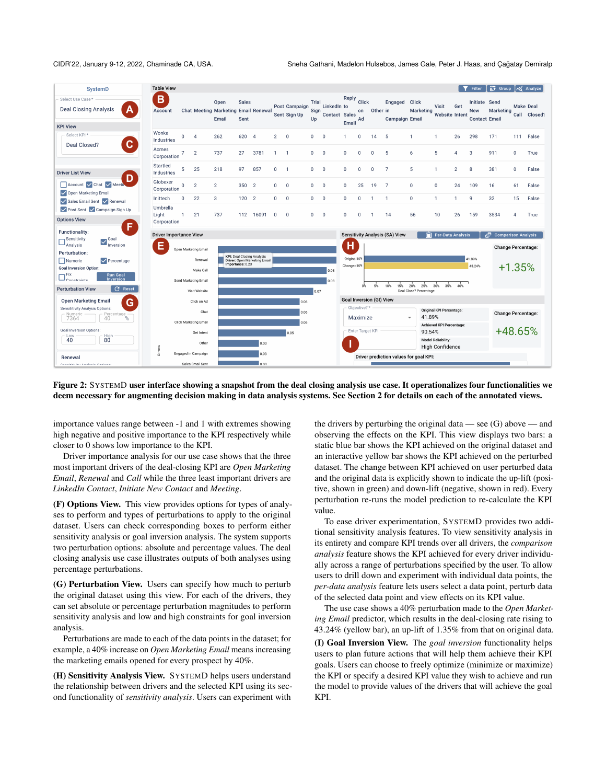CIDR'22, January 9-12, 2022, Chaminade CA, USA. Sneha Gathani, Madelon Hulsebos, James Gale, Peter J. Haas, and Çağatay Demiralp

<span id="page-3-0"></span>

| SystemD                                                                                                                                                                                                           | <b>Table View</b>                  |              |                                              |                                                       |                      |                                                            |                |                               |                     |                                        |                                                     |                   |                          |                                       |                                      |                                           |                | Filter                                              | <b>3</b> Group   Mg Analyze                  |                           |                                  |  |
|-------------------------------------------------------------------------------------------------------------------------------------------------------------------------------------------------------------------|------------------------------------|--------------|----------------------------------------------|-------------------------------------------------------|----------------------|------------------------------------------------------------|----------------|-------------------------------|---------------------|----------------------------------------|-----------------------------------------------------|-------------------|--------------------------|---------------------------------------|--------------------------------------|-------------------------------------------|----------------|-----------------------------------------------------|----------------------------------------------|---------------------------|----------------------------------|--|
| Select Use Case*<br><b>Deal Closing Analysis</b><br>Α                                                                                                                                                             | B<br>Account                       |              |                                              | Open<br>Chat Meeting Marketing Email Renewal<br>Email | <b>Sales</b><br>Sent |                                                            |                | Post Campaign<br>Sent Sign Up | Trial<br>Sign<br>Up | LinkedIn to<br>Contact Sales           | Reply<br>Email                                      | Click<br>on<br>Ad | Other in                 | Engaged<br><b>Campaign Email</b>      | <b>Click</b><br>Marketing            | Visit<br>Website Intent                   | Get            | Initiate Send<br><b>New</b><br><b>Contact Email</b> | Marketing                                    |                           | <b>Make Deal</b><br>Call Closed? |  |
| <b>KPI View</b>                                                                                                                                                                                                   | Wonka                              |              |                                              |                                                       |                      |                                                            |                |                               |                     |                                        |                                                     |                   |                          |                                       |                                      |                                           |                |                                                     |                                              |                           |                                  |  |
| Select KPI*<br>$\mathbf C$<br>Deal Closed?                                                                                                                                                                        | Industries                         | 0            | $\overline{4}$                               | 262                                                   | 620                  | $\overline{4}$                                             | $\overline{2}$ | $\overline{0}$                | 0                   | $\mathbf 0$                            | 1                                                   | $\overline{0}$    | 14                       | 5                                     | $\mathbf{1}$                         | $\mathbf{1}$                              | 26             | 298                                                 | 171                                          | 111                       | False                            |  |
|                                                                                                                                                                                                                   | Acmes<br>Corporation               | 7            | $\overline{2}$                               | 737                                                   | 27                   | 3781                                                       |                | -1                            | 0                   | $\overline{0}$                         | 0                                                   | $\Omega$          | $\Omega$                 | 5                                     | 6                                    | 5                                         | $\overline{4}$ | 3                                                   | 911                                          | $\mathbf 0$               | True                             |  |
| <b>Driver List View</b>                                                                                                                                                                                           | Startled<br>Industries             | 5            | 25                                           | 218                                                   | 97                   | 857                                                        | 0              | -1                            | 0                   | $\mathbf 0$                            | 0                                                   | $\circ$           | $\Omega$                 | $\overline{7}$                        | 5                                    | $\mathbf{1}$                              | $\overline{2}$ | 8                                                   | 381                                          | 0                         | False                            |  |
| D<br>Account V Chat V Meeth<br>Open Marketing Email                                                                                                                                                               | Globexer<br>Corporation            | $\Omega$     | $\overline{2}$                               | $\overline{2}$                                        | 350                  | $\overline{2}$                                             | 0              | $\mathbf 0$                   | 0                   | $\mathbf 0$                            | 0                                                   | 25                | 19                       | 7                                     | $\mathbf{0}$                         | $\mathbf 0$                               | 24             | 109                                                 | 16                                           | 61                        | False                            |  |
| Sales Email Sent V Renewal                                                                                                                                                                                        | Inittech                           | $\mathbf 0$  | 22                                           | 3                                                     | 120                  | $\overline{2}$                                             | 0              | $\Omega$                      | $\mathbf{0}$        | $\mathbf{0}$                           | 0                                                   | $\mathbf{0}$      | $\mathbf{1}$             | $\overline{1}$                        | $\mathbf{0}$                         | $\overline{1}$                            | $\mathbf{1}$   | 9                                                   | 32                                           | 15                        | False                            |  |
| Post Sent V Campaign Sign Up                                                                                                                                                                                      | Umbrella<br>Light                  | $\mathbf{1}$ | 21                                           | 737                                                   | 112                  | 16091                                                      | 0              | $\mathbf{0}$                  | 0                   | $\mathbf{0}$                           | 0                                                   | $\overline{0}$    | $\mathbf{1}$             | 14                                    | 56                                   | 10                                        | 26             | 159                                                 | 3534                                         | 4                         | True                             |  |
| <b>Options View</b>                                                                                                                                                                                               | Corporation                        |              |                                              |                                                       |                      |                                                            |                |                               |                     |                                        |                                                     |                   |                          |                                       |                                      |                                           |                |                                                     |                                              |                           |                                  |  |
| F.<br>Functionality:<br>Sensitivity<br>$\sum_{\text{Inversion}}$<br>Analysis<br>Perturbation:<br>Numeric<br>$\vee$ Percentage<br><b>Goal Inversion Option:</b><br>$\overline{\phantom{a}}$ Fix<br><b>Run Goal</b> | <b>Driver Importance View</b><br>Е |              | Open Marketing Email<br>Renewal<br>Make Call |                                                       | Importance: 0.23     | KPI: Deal Closing Analysis<br>Driver: Open Marketing Email |                |                               |                     | 0.08                                   | н<br>Original KPI<br>Changed KPI                    |                   |                          | <b>Sensitivity Analysis (SA) View</b> |                                      | Per-Data Analysis                         |                | 41.89%<br>43.24%                                    | Comparison Analysis ہے<br>Change Percentage: | $+1.35%$                  |                                  |  |
| Constraints<br>Inversion                                                                                                                                                                                          |                                    |              | Send Marketing Email                         |                                                       |                      |                                                            |                |                               |                     | 0.08                                   |                                                     |                   |                          |                                       |                                      |                                           |                |                                                     |                                              |                           |                                  |  |
| C Reset<br><b>Perturbation View</b>                                                                                                                                                                               |                                    |              | Visit Website                                |                                                       |                      |                                                            |                |                               | 0.07                |                                        |                                                     | o\.               | 5%                       | 10%<br>15%                            | 20%<br>25%<br>Deal Close? Percentage | 30%<br>35%                                | 40%            |                                                     |                                              |                           |                                  |  |
| <b>Open Marketing Email</b><br>G                                                                                                                                                                                  |                                    | Click on Ad  |                                              |                                                       | 0.06                 |                                                            |                |                               |                     |                                        |                                                     |                   | Goal Inversion (GI) View |                                       |                                      |                                           |                |                                                     |                                              |                           |                                  |  |
| Sensititivity Analysis Options:<br>Percentage <sub>%</sub><br>Numeric<br>7364                                                                                                                                     | Chat<br>Click Marketing Email      |              |                                              |                                                       | 0.06<br>0.06         |                                                            |                |                               |                     |                                        | Objective?*<br>Maximize<br>$\overline{\phantom{a}}$ |                   |                          |                                       |                                      | Original KPI Percentage:<br>41.89%        |                |                                                     |                                              | <b>Change Percentage:</b> |                                  |  |
| <b>Goal Inversion Options:</b>                                                                                                                                                                                    | Get Intent                         |              |                                              |                                                       | 0.05                 |                                                            |                |                               |                     |                                        | Enter Target KPI                                    |                   |                          |                                       |                                      | <b>Achieved KPI Percentage:</b><br>90.54% |                |                                                     |                                              | +48.65%                   |                                  |  |
| High<br>80<br>Low<br>40                                                                                                                                                                                           | Other                              |              |                                              |                                                       | 0.03                 |                                                            |                |                               |                     |                                        | <b>Model Reliability:</b><br>High Confidence        |                   |                          |                                       |                                      |                                           |                |                                                     |                                              |                           |                                  |  |
| Renewal                                                                                                                                                                                                           | Drivers<br>Engaged in Campaign     |              | 0.03                                         |                                                       |                      |                                                            |                |                               |                     | Driver prediction values for goal KPI: |                                                     |                   |                          |                                       |                                      |                                           |                |                                                     |                                              |                           |                                  |  |
| Constabilities American Continues                                                                                                                                                                                 |                                    |              | Sales Email Sent                             |                                                       |                      | 0.03                                                       |                |                               |                     |                                        |                                                     |                   |                          |                                       |                                      |                                           |                |                                                     |                                              |                           |                                  |  |

Figure 2: SYSTEMD user interface showing a snapshot from the deal closing analysis use case. It operationalizes four functionalities we deem necessary for augmenting decision making in data analysis systems. See Section [2](#page-2-1) for details on each of the annotated views.

importance values range between -1 and 1 with extremes showing high negative and positive importance to the KPI respectively while closer to 0 shows low importance to the KPI.

Driver importance analysis for our use case shows that the three most important drivers of the deal-closing KPI are *Open Marketing Email*, *Renewal* and *Call* while the three least important drivers are *LinkedIn Contact*, *Initiate New Contact* and *Meeting*.

(F) Options View. This view provides options for types of analyses to perform and types of perturbations to apply to the original dataset. Users can check corresponding boxes to perform either sensitivity analysis or goal inversion analysis. The system supports two perturbation options: absolute and percentage values. The deal closing analysis use case illustrates outputs of both analyses using percentage perturbations.

(G) Perturbation View. Users can specify how much to perturb the original dataset using this view. For each of the drivers, they can set absolute or percentage perturbation magnitudes to perform sensitivity analysis and low and high constraints for goal inversion analysis.

Perturbations are made to each of the data points in the dataset; for example, a 40% increase on *Open Marketing Email* means increasing the marketing emails opened for every prospect by 40%.

(H) Sensitivity Analysis View. SYSTEMD helps users understand the relationship between drivers and the selected KPI using its second functionality of *sensitivity analysis*. Users can experiment with

the drivers by perturbing the original data — see (G) above — and observing the effects on the KPI. This view displays two bars: a static blue bar shows the KPI achieved on the original dataset and an interactive yellow bar shows the KPI achieved on the perturbed dataset. The change between KPI achieved on user perturbed data and the original data is explicitly shown to indicate the up-lift (positive, shown in green) and down-lift (negative, shown in red). Every perturbation re-runs the model prediction to re-calculate the KPI value.

To ease driver experimentation, SYSTEMD provides two additional sensitivity analysis features. To view sensitivity analysis in its entirety and compare KPI trends over all drivers, the *comparison analysis* feature shows the KPI achieved for every driver individually across a range of perturbations specified by the user. To allow users to drill down and experiment with individual data points, the *per-data analysis* feature lets users select a data point, perturb data of the selected data point and view effects on its KPI value.

The use case shows a 40% perturbation made to the *Open Marketing Email* predictor, which results in the deal-closing rate rising to 43.24% (yellow bar), an up-lift of 1.35% from that on original data.

(I) Goal Inversion View. The *goal inversion* functionality helps users to plan future actions that will help them achieve their KPI goals. Users can choose to freely optimize (minimize or maximize) the KPI or specify a desired KPI value they wish to achieve and run the model to provide values of the drivers that will achieve the goal KPI.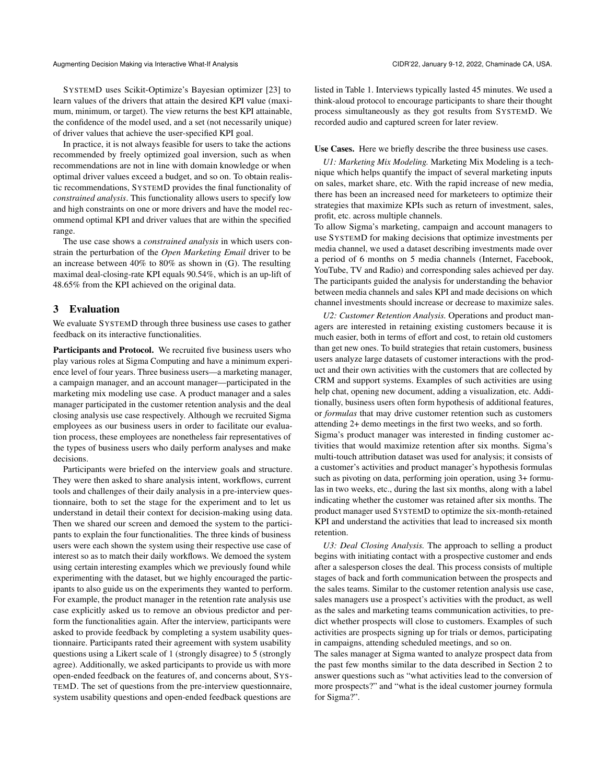SYSTEMD uses Scikit-Optimize's Bayesian optimizer [\[23\]](#page-7-12) to learn values of the drivers that attain the desired KPI value (maximum, minimum, or target). The view returns the best KPI attainable, the confidence of the model used, and a set (not necessarily unique) of driver values that achieve the user-specified KPI goal.

In practice, it is not always feasible for users to take the actions recommended by freely optimized goal inversion, such as when recommendations are not in line with domain knowledge or when optimal driver values exceed a budget, and so on. To obtain realistic recommendations, SYSTEMD provides the final functionality of *constrained analysis*. This functionality allows users to specify low and high constraints on one or more drivers and have the model recommend optimal KPI and driver values that are within the specified range.

The use case shows a *constrained analysis* in which users constrain the perturbation of the *Open Marketing Email* driver to be an increase between 40% to 80% as shown in (G). The resulting maximal deal-closing-rate KPI equals 90.54%, which is an up-lift of 48.65% from the KPI achieved on the original data.

# 3 Evaluation

We evaluate SYSTEMD through three business use cases to gather feedback on its interactive functionalities.

Participants and Protocol. We recruited five business users who play various roles at Sigma Computing and have a minimum experience level of four years. Three business users—a marketing manager, a campaign manager, and an account manager—participated in the marketing mix modeling use case. A product manager and a sales manager participated in the customer retention analysis and the deal closing analysis use case respectively. Although we recruited Sigma employees as our business users in order to facilitate our evaluation process, these employees are nonetheless fair representatives of the types of business users who daily perform analyses and make decisions.

Participants were briefed on the interview goals and structure. They were then asked to share analysis intent, workflows, current tools and challenges of their daily analysis in a pre-interview questionnaire, both to set the stage for the experiment and to let us understand in detail their context for decision-making using data. Then we shared our screen and demoed the system to the participants to explain the four functionalities. The three kinds of business users were each shown the system using their respective use case of interest so as to match their daily workflows. We demoed the system using certain interesting examples which we previously found while experimenting with the dataset, but we highly encouraged the participants to also guide us on the experiments they wanted to perform. For example, the product manager in the retention rate analysis use case explicitly asked us to remove an obvious predictor and perform the functionalities again. After the interview, participants were asked to provide feedback by completing a system usability questionnaire. Participants rated their agreement with system usability questions using a Likert scale of 1 (strongly disagree) to 5 (strongly agree). Additionally, we asked participants to provide us with more open-ended feedback on the features of, and concerns about, SYS-TEMD. The set of questions from the pre-interview questionnaire, system usability questions and open-ended feedback questions are

listed in [Table 1.](#page-5-0) Interviews typically lasted 45 minutes. We used a think-aloud protocol to encourage participants to share their thought process simultaneously as they got results from SYSTEMD. We recorded audio and captured screen for later review.

### Use Cases. Here we briefly describe the three business use cases.

*U1: Marketing Mix Modeling.* Marketing Mix Modeling is a technique which helps quantify the impact of several marketing inputs on sales, market share, etc. With the rapid increase of new media, there has been an increased need for marketeers to optimize their strategies that maximize KPIs such as return of investment, sales, profit, etc. across multiple channels.

To allow Sigma's marketing, campaign and account managers to use SYSTEMD for making decisions that optimize investments per media channel, we used a dataset describing investments made over a period of 6 months on 5 media channels (Internet, Facebook, YouTube, TV and Radio) and corresponding sales achieved per day. The participants guided the analysis for understanding the behavior between media channels and sales KPI and made decisions on which channel investments should increase or decrease to maximize sales.

*U2: Customer Retention Analysis.* Operations and product managers are interested in retaining existing customers because it is much easier, both in terms of effort and cost, to retain old customers than get new ones. To build strategies that retain customers, business users analyze large datasets of customer interactions with the product and their own activities with the customers that are collected by CRM and support systems. Examples of such activities are using help chat, opening new document, adding a visualization, etc. Additionally, business users often form hypothesis of additional features, or *formulas* that may drive customer retention such as customers attending 2+ demo meetings in the first two weeks, and so forth. Sigma's product manager was interested in finding customer activities that would maximize retention after six months. Sigma's multi-touch attribution dataset was used for analysis; it consists of a customer's activities and product manager's hypothesis formulas such as pivoting on data, performing join operation, using 3+ formulas in two weeks, etc., during the last six months, along with a label indicating whether the customer was retained after six months. The product manager used SYSTEMD to optimize the six-month-retained KPI and understand the activities that lead to increased six month

*U3: Deal Closing Analysis.* The approach to selling a product begins with initiating contact with a prospective customer and ends after a salesperson closes the deal. This process consists of multiple stages of back and forth communication between the prospects and the sales teams. Similar to the customer retention analysis use case, sales managers use a prospect's activities with the product, as well as the sales and marketing teams communication activities, to predict whether prospects will close to customers. Examples of such activities are prospects signing up for trials or demos, participating in campaigns, attending scheduled meetings, and so on.

retention.

The sales manager at Sigma wanted to analyze prospect data from the past few months similar to the data described in Section [2](#page-2-1) to answer questions such as "what activities lead to the conversion of more prospects?" and "what is the ideal customer journey formula for Sigma?".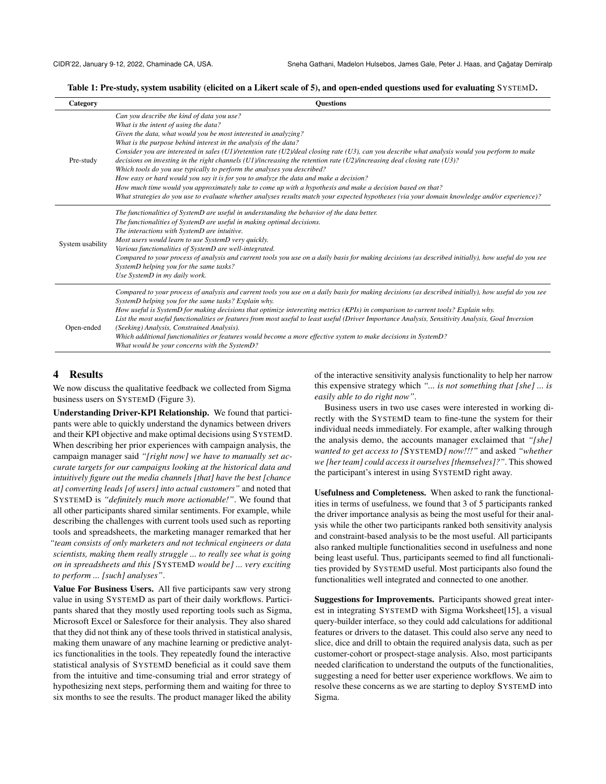<span id="page-5-0"></span>Table 1: Pre-study, system usability (elicited on a Likert scale of 5), and open-ended questions used for evaluating SYSTEMD.

| Category         | <b>Ouestions</b>                                                                                                                                                                                                                                                                                                                                                                                                                                                                                                                                                                                                                                                                                                                                                                                                                                                                                                                           |
|------------------|--------------------------------------------------------------------------------------------------------------------------------------------------------------------------------------------------------------------------------------------------------------------------------------------------------------------------------------------------------------------------------------------------------------------------------------------------------------------------------------------------------------------------------------------------------------------------------------------------------------------------------------------------------------------------------------------------------------------------------------------------------------------------------------------------------------------------------------------------------------------------------------------------------------------------------------------|
| Pre-study        | Can you describe the kind of data you use?<br>What is the intent of using the data?<br>Given the data, what would you be most interested in analyzing?<br>What is the purpose behind interest in the analysis of the data?<br>Consider you are interested in sales (U1)/retention rate (U2)/deal closing rate (U3), can you describe what analysis would you perform to make<br>decisions on investing in the right channels (U1)/increasing the retention rate (U2)/increasing deal closing rate (U3)?<br>Which tools do you use typically to perform the analyses you described?<br>How easy or hard would you say it is for you to analyze the data and make a decision?<br>How much time would you approximately take to come up with a hypothesis and make a decision based on that?<br>What strategies do you use to evaluate whether analyses results match your expected hypotheses (via your domain knowledge and/or experience)? |
| System usability | The functionalities of SystemD are useful in understanding the behavior of the data better.<br>The functionalities of SystemD are useful in making optimal decisions.<br>The interactions with SystemD are intuitive.<br>Most users would learn to use SystemD very quickly.<br>Various functionalities of SystemD are well-integrated.<br>Compared to your process of analysis and current tools you use on a daily basis for making decisions (as described initially), how useful do you see<br>SystemD helping you for the same tasks?<br>Use SystemD in my daily work.                                                                                                                                                                                                                                                                                                                                                                |
| Open-ended       | Compared to your process of analysis and current tools you use on a daily basis for making decisions (as described initially), how useful do you see<br>SystemD helping you for the same tasks? Explain why.<br>How useful is SystemD for making decisions that optimize interesting metrics (KPIs) in comparison to current tools? Explain why.<br>List the most useful functionalities or features from most useful to least useful (Driver Importance Analysis, Sensitivity Analysis, Goal Inversion<br>(Seeking) Analysis, Constrained Analysis).<br>Which additional functionalities or features would become a more effective system to make decisions in SystemD?<br>What would be your concerns with the SystemD?                                                                                                                                                                                                                  |

# 4 Results

We now discuss the qualitative feedback we collected from Sigma business users on SYSTEMD [\(Figure 3\)](#page-6-0).

Understanding Driver-KPI Relationship. We found that participants were able to quickly understand the dynamics between drivers and their KPI objective and make optimal decisions using SYSTEMD. When describing her prior experiences with campaign analysis, the campaign manager said *"[right now] we have to manually set accurate targets for our campaigns looking at the historical data and intuitively figure out the media channels [that] have the best [chance at] converting leads [of users] into actual customers"* and noted that SYSTEMD is *"definitely much more actionable!"*. We found that all other participants shared similar sentiments. For example, while describing the challenges with current tools used such as reporting tools and spreadsheets, the marketing manager remarked that her *"team consists of only marketers and not technical engineers or data scientists, making them really struggle ... to really see what is going on in spreadsheets and this [*SYSTEMD *would be] ... very exciting to perform ... [such] analyses"*.

Value For Business Users. All five participants saw very strong value in using SYSTEMD as part of their daily workflows. Participants shared that they mostly used reporting tools such as Sigma, Microsoft Excel or Salesforce for their analysis. They also shared that they did not think any of these tools thrived in statistical analysis, making them unaware of any machine learning or predictive analytics functionalities in the tools. They repeatedly found the interactive statistical analysis of SYSTEMD beneficial as it could save them from the intuitive and time-consuming trial and error strategy of hypothesizing next steps, performing them and waiting for three to six months to see the results. The product manager liked the ability

of the interactive sensitivity analysis functionality to help her narrow this expensive strategy which *"... is not something that [she] ... is easily able to do right now"*.

Business users in two use cases were interested in working directly with the SYSTEMD team to fine-tune the system for their individual needs immediately. For example, after walking through the analysis demo, the accounts manager exclaimed that *"[she] wanted to get access to [*SYSTEMD*] now!!!"* and asked *"whether we [her team] could access it ourselves [themselves]?"*. This showed the participant's interest in using SYSTEMD right away.

Usefulness and Completeness. When asked to rank the functionalities in terms of usefulness, we found that 3 of 5 participants ranked the driver importance analysis as being the most useful for their analysis while the other two participants ranked both sensitivity analysis and constraint-based analysis to be the most useful. All participants also ranked multiple functionalities second in usefulness and none being least useful. Thus, participants seemed to find all functionalities provided by SYSTEMD useful. Most participants also found the functionalities well integrated and connected to one another.

Suggestions for Improvements. Participants showed great interest in integrating SYSTEMD with Sigma Worksheet[\[15\]](#page-7-13), a visual query-builder interface, so they could add calculations for additional features or drivers to the dataset. This could also serve any need to slice, dice and drill to obtain the required analysis data, such as per customer-cohort or prospect-stage analysis. Also, most participants needed clarification to understand the outputs of the functionalities, suggesting a need for better user experience workflows. We aim to resolve these concerns as we are starting to deploy SYSTEMD into Sigma.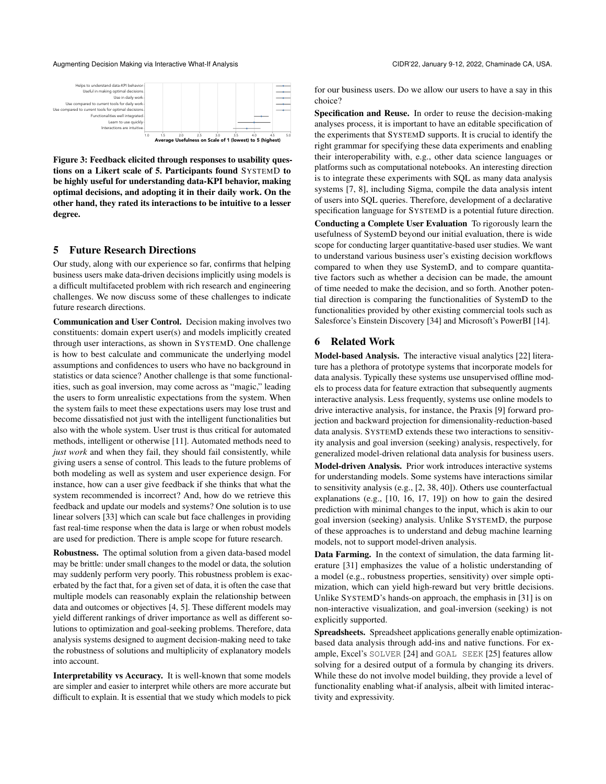## Augmenting Decision Making via Interactive What-If Analysis CIDR'22, January 9-12, 2022, Chaminade CA, USA.

<span id="page-6-0"></span>

Figure 3: Feedback elicited through responses to usability questions on a Likert scale of 5. Participants found SYSTEMD to be highly useful for understanding data-KPI behavior, making optimal decisions, and adopting it in their daily work. On the other hand, they rated its interactions to be intuitive to a lesser degree.

# 5 Future Research Directions

Our study, along with our experience so far, confirms that helping business users make data-driven decisions implicitly using models is a difficult multifaceted problem with rich research and engineering challenges. We now discuss some of these challenges to indicate future research directions.

Communication and User Control. Decision making involves two constituents: domain expert user(s) and models implicitly created through user interactions, as shown in SYSTEMD. One challenge is how to best calculate and communicate the underlying model assumptions and confidences to users who have no background in statistics or data science? Another challenge is that some functionalities, such as goal inversion, may come across as "magic," leading the users to form unrealistic expectations from the system. When the system fails to meet these expectations users may lose trust and become dissatisfied not just with the intelligent functionalities but also with the whole system. User trust is thus critical for automated methods, intelligent or otherwise [\[11\]](#page-7-14). Automated methods need to *just work* and when they fail, they should fail consistently, while giving users a sense of control. This leads to the future problems of both modeling as well as system and user experience design. For instance, how can a user give feedback if she thinks that what the system recommended is incorrect? And, how do we retrieve this feedback and update our models and systems? One solution is to use linear solvers [\[33\]](#page-7-15) which can scale but face challenges in providing fast real-time response when the data is large or when robust models are used for prediction. There is ample scope for future research.

Robustness. The optimal solution from a given data-based model may be brittle: under small changes to the model or data, the solution may suddenly perform very poorly. This robustness problem is exacerbated by the fact that, for a given set of data, it is often the case that multiple models can reasonably explain the relationship between data and outcomes or objectives [\[4,](#page-7-16) [5\]](#page-7-17). These different models may yield different rankings of driver importance as well as different solutions to optimization and goal-seeking problems. Therefore, data analysis systems designed to augment decision-making need to take the robustness of solutions and multiplicity of explanatory models into account.

Interpretability vs Accuracy. It is well-known that some models are simpler and easier to interpret while others are more accurate but difficult to explain. It is essential that we study which models to pick for our business users. Do we allow our users to have a say in this choice?

Specification and Reuse. In order to reuse the decision-making analyses process, it is important to have an editable specification of the experiments that SYSTEMD supports. It is crucial to identify the right grammar for specifying these data experiments and enabling their interoperability with, e.g., other data science languages or platforms such as computational notebooks. An interesting direction is to integrate these experiments with SQL as many data analysis systems [\[7,](#page-7-18) [8\]](#page-7-19), including Sigma, compile the data analysis intent of users into SQL queries. Therefore, development of a declarative specification language for SYSTEMD is a potential future direction. Conducting a Complete User Evaluation To rigorously learn the usefulness of SystemD beyond our initial evaluation, there is wide scope for conducting larger quantitative-based user studies. We want to understand various business user's existing decision workflows compared to when they use SystemD, and to compare quantitative factors such as whether a decision can be made, the amount of time needed to make the decision, and so forth. Another potential direction is comparing the functionalities of SystemD to the functionalities provided by other existing commercial tools such as Salesforce's Einstein Discovery [\[34\]](#page-7-20) and Microsoft's PowerBI [\[14\]](#page-7-21).

# 6 Related Work

Model-based Analysis. The interactive visual analytics [\[22\]](#page-7-22) literature has a plethora of prototype systems that incorporate models for data analysis. Typically these systems use unsupervised offline models to process data for feature extraction that subsequently augments interactive analysis. Less frequently, systems use online models to drive interactive analysis, for instance, the Praxis [\[9\]](#page-7-7) forward projection and backward projection for dimensionality-reduction-based data analysis. SYSTEMD extends these two interactions to sensitivity analysis and goal inversion (seeking) analysis, respectively, for generalized model-driven relational data analysis for business users.

Model-driven Analysis. Prior work introduces interactive systems for understanding models. Some systems have interactions similar to sensitivity analysis (e.g., [\[2,](#page-7-23) [38,](#page-7-24) [40\]](#page-7-25)). Others use counterfactual explanations (e.g., [\[10,](#page-7-26) [16,](#page-7-27) [17,](#page-7-28) [19\]](#page-7-29)) on how to gain the desired prediction with minimal changes to the input, which is akin to our goal inversion (seeking) analysis. Unlike SYSTEMD, the purpose of these approaches is to understand and debug machine learning models, not to support model-driven analysis.

Data Farming. In the context of simulation, the data farming literature [\[31\]](#page-7-30) emphasizes the value of a holistic understanding of a model (e.g., robustness properties, sensitivity) over simple optimization, which can yield high-reward but very brittle decisions. Unlike SYSTEMD's hands-on approach, the emphasis in [\[31\]](#page-7-30) is on non-interactive visualization, and goal-inversion (seeking) is not explicitly supported.

Spreadsheets. Spreadsheet applications generally enable optimizationbased data analysis through add-ins and native functions. For example, Excel's SOLVER [\[24\]](#page-7-31) and GOAL SEEK [\[25\]](#page-7-32) features allow solving for a desired output of a formula by changing its drivers. While these do not involve model building, they provide a level of functionality enabling what-if analysis, albeit with limited interactivity and expressivity.